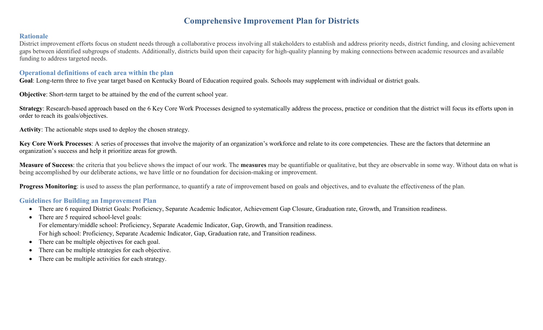# **Comprehensive Improvement Plan for Districts**

### **Rationale**

District improvement efforts focus on student needs through a collaborative process involving all stakeholders to establish and address priority needs, district funding, and closing achievement gaps between identified subgroups of students. Additionally, districts build upon their capacity for high-quality planning by making connections between academic resources and available funding to address targeted needs.

### **Operational definitions of each area within the plan**

**Goal**: Long-term three to five year target based on Kentucky Board of Education required goals. Schools may supplement with individual or district goals.

**Objective**: Short-term target to be attained by the end of the current school year.

**Strategy**: Research-based approach based on the 6 Key Core Work Processes designed to systematically address the process, practice or condition that the district will focus its efforts upon in order to reach its goals/objectives.

**Activity**: The actionable steps used to deploy the chosen strategy.

**Key Core Work Processes**: A series of processes that involve the majority of an organization's workforce and relate to its core competencies. These are the factors that determine an organization's success and help it prioritize areas for growth.

**Measure of Success**: the criteria that you believe shows the impact of our work. The **measures** may be quantifiable or qualitative, but they are observable in some way. Without data on what is being accomplished by our deliberate actions, we have little or no foundation for decision-making or improvement.

**Progress Monitoring**: is used to assess the plan performance, to quantify a rate of improvement based on goals and objectives, and to evaluate the effectiveness of the plan.

## **Guidelines for Building an Improvement Plan**

- There are 6 required District Goals: Proficiency, Separate Academic Indicator, Achievement Gap Closure, Graduation rate, Growth, and Transition readiness.
- There are 5 required school-level goals: For elementary/middle school: Proficiency, Separate Academic Indicator, Gap, Growth, and Transition readiness. For high school: Proficiency, Separate Academic Indicator, Gap, Graduation rate, and Transition readiness.
- There can be multiple objectives for each goal.
- There can be multiple strategies for each objective.
- There can be multiple activities for each strategy.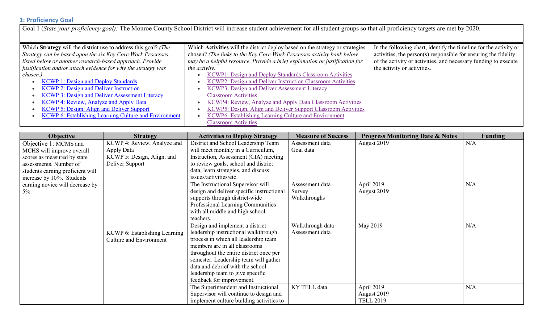# **1: Proficiency Goal**

Goal 1 (State your proficiency goal): The Monroe County School District will increase student achievement for all student groups so that all proficiency targets are met by 2020.

| Which Strategy will the district use to address this goal? (The | Which Activities will the district deploy based on the strategy or strategies | In the following chart, identify the timeline for the activity or |
|-----------------------------------------------------------------|-------------------------------------------------------------------------------|-------------------------------------------------------------------|
| Strategy can be based upon the six Key Core Work Processes      | chosen? (The links to the Key Core Work Processes activity bank below         | activities, the person(s) responsible for ensuring the fidelity   |
| listed below or another research-based approach. Provide        | may be a helpful resource. Provide a brief explanation or justification for   | of the activity or activities, and necessary funding to execute   |
| justification and/or attach evidence for why the strategy was   | <i>the activity.</i>                                                          | the activity or activities.                                       |
| chosen.)                                                        | KCWP1: Design and Deploy Standards Classroom Activities                       |                                                                   |
| <b>KCWP 1: Design and Deploy Standards</b>                      | KCWP2: Design and Deliver Instruction Classroom Activities                    |                                                                   |
| <b>KCWP 2: Design and Deliver Instruction</b>                   | KCWP3: Design and Deliver Assessment Literacy                                 |                                                                   |
| <b>KCWP 3: Design and Deliver Assessment Literacy</b>           | <b>Classroom Activities</b>                                                   |                                                                   |
| KCWP 4: Review, Analyze and Apply Data                          | KCWP4: Review, Analyze and Apply Data Classroom Activities                    |                                                                   |
| <b>KCWP 5: Design, Align and Deliver Support</b>                | KCWP5: Design, Align and Deliver Support Classroom Activities                 |                                                                   |
| <b>KCWP 6: Establishing Learning Culture and Environment</b>    | KCWP6: Establishing Learning Culture and Environment                          |                                                                   |
|                                                                 | <b>Classroom Activities</b>                                                   |                                                                   |

| <b>Objective</b>                 | <b>Strategy</b>                | <b>Activities to Deploy Strategy</b>      | <b>Measure of Success</b> | <b>Progress Monitoring Date &amp; Notes</b> | Funding |
|----------------------------------|--------------------------------|-------------------------------------------|---------------------------|---------------------------------------------|---------|
| Objective 1: MCMS and            | KCWP 4: Review, Analyze and    | District and School Leadership Team       | Assessment data           | August 2019                                 | N/A     |
| MCHS will improve overall        | Apply Data                     | will meet monthly in a Curriculum,        | Goal data                 |                                             |         |
| scores as measured by state      | KCWP 5: Design, Align, and     | Instruction, Assessment (CIA) meeting     |                           |                                             |         |
| assessments. Number of           | Deliver Support                | to review goals, school and district      |                           |                                             |         |
| students earning proficient will |                                | data, learn strategies, and discuss       |                           |                                             |         |
| increase by 10%. Students        |                                | issues/activities/etc.                    |                           |                                             |         |
| earning novice will decrease by  |                                | The Instructional Supervisor will         | Assessment data           | April 2019                                  | N/A     |
| $5\%$ .                          |                                | design and deliver specific instructional | Survey                    | August 2019                                 |         |
|                                  |                                | supports through district-wide            | Walkthroughs              |                                             |         |
|                                  |                                | Professional Learning Communities         |                           |                                             |         |
|                                  |                                | with all middle and high school           |                           |                                             |         |
|                                  |                                | teachers.                                 |                           |                                             |         |
|                                  |                                | Design and implement a district           | Walkthrough data          | May 2019                                    | N/A     |
|                                  | KCWP 6: Establishing Learning  | leadership instructional walkthrough      | Assessment data           |                                             |         |
|                                  | <b>Culture and Environment</b> | process in which all leadership team      |                           |                                             |         |
|                                  |                                | members are in all classrooms             |                           |                                             |         |
|                                  |                                | throughout the entire district once per   |                           |                                             |         |
|                                  |                                | semester. Leadership team will gather     |                           |                                             |         |
|                                  |                                | data and debrief with the school          |                           |                                             |         |
|                                  |                                | leadership team to give specific          |                           |                                             |         |
|                                  |                                | feedback for improvement.                 |                           |                                             |         |
|                                  |                                | The Superintendent and Instructional      | KY TELL data              | April 2019                                  | N/A     |
|                                  |                                | Supervisor will continue to design and    |                           | August 2019                                 |         |
|                                  |                                | implement culture building activities to  |                           | <b>TELL 2019</b>                            |         |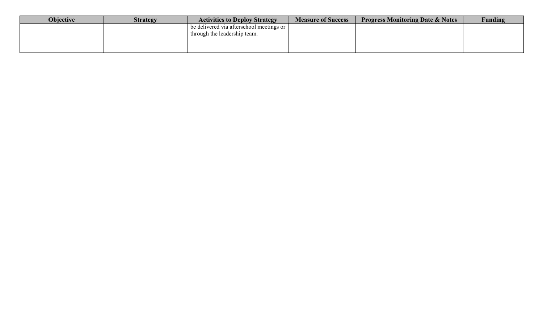| <b>Objective</b> | <b>Strategy</b> | <b>Activities to Deploy Strategy</b>     | <b>Measure of Success</b> | <b>Progress Monitoring Date &amp; Notes</b> | <b>Funding</b> |
|------------------|-----------------|------------------------------------------|---------------------------|---------------------------------------------|----------------|
|                  |                 | be delivered via afterschool meetings or |                           |                                             |                |
|                  |                 | through the leadership team.             |                           |                                             |                |
|                  |                 |                                          |                           |                                             |                |
|                  |                 |                                          |                           |                                             |                |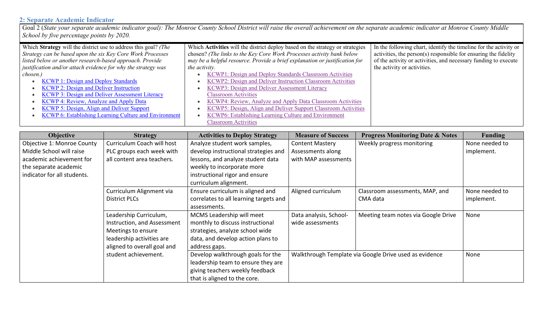### **2: Separate Academic Indicator**

Goal 2 (*State your separate academic indicator goal): The Monroe County School District will raise the overall achievement on the separate academic indicator at Monroe County Middle School by five percentage points by 2020.*

| Which Strategy will the district use to address this goal? (The | Which Activities will the district deploy based on the strategy or strategies | In the following chart, identify the timeline for the activity or |
|-----------------------------------------------------------------|-------------------------------------------------------------------------------|-------------------------------------------------------------------|
| Strategy can be based upon the six Key Core Work Processes      | chosen? (The links to the Key Core Work Processes activity bank below         | activities, the person(s) responsible for ensuring the fidelity   |
| listed below or another research-based approach. Provide        | may be a helpful resource. Provide a brief explanation or justification for   | of the activity or activities, and necessary funding to execute   |
| justification and/or attach evidence for why the strategy was   | the activity.                                                                 | the activity or activities.                                       |
| chosen.)                                                        | KCWP1: Design and Deploy Standards Classroom Activities                       |                                                                   |
| <b>KCWP 1: Design and Deploy Standards</b>                      | KCWP2: Design and Deliver Instruction Classroom Activities                    |                                                                   |
| <b>KCWP 2: Design and Deliver Instruction</b>                   | KCWP3: Design and Deliver Assessment Literacy                                 |                                                                   |
| KCWP 3: Design and Deliver Assessment Literacy                  | <b>Classroom Activities</b>                                                   |                                                                   |
| KCWP 4: Review, Analyze and Apply Data                          | KCWP4: Review, Analyze and Apply Data Classroom Activities                    |                                                                   |
| KCWP 5: Design, Align and Deliver Support                       | KCWP5: Design, Align and Deliver Support Classroom Activities                 |                                                                   |
| <b>KCWP 6: Establishing Learning Culture and Environment</b>    | KCWP6: Establishing Learning Culture and Environment                          |                                                                   |
|                                                                 | <b>Classroom Activities</b>                                                   |                                                                   |

| <b>Objective</b>            | <b>Strategy</b>             | <b>Activities to Deploy Strategy</b>   | <b>Measure of Success</b> | <b>Progress Monitoring Date &amp; Notes</b>            | <b>Funding</b> |
|-----------------------------|-----------------------------|----------------------------------------|---------------------------|--------------------------------------------------------|----------------|
| Objective 1: Monroe County  | Curriculum Coach will host  | Analyze student work samples,          | <b>Content Mastery</b>    | Weekly progress monitoring                             | None needed to |
| Middle School will raise    | PLC groups each week with   | develop instructional strategies and   | Assessments along         |                                                        | implement.     |
| academic achievement for    | all content area teachers.  | lessons, and analyze student data      | with MAP assessments      |                                                        |                |
| the separate academic       |                             | weekly to incorporate more             |                           |                                                        |                |
| indicator for all students. |                             | instructional rigor and ensure         |                           |                                                        |                |
|                             |                             | curriculum alignment.                  |                           |                                                        |                |
|                             | Curriculum Alignment via    | Ensure curriculum is aligned and       | Aligned curriculum        | Classroom assessments, MAP, and                        | None needed to |
|                             | <b>District PLCs</b>        | correlates to all learning targets and |                           | CMA data                                               | implement.     |
|                             |                             | assessments.                           |                           |                                                        |                |
|                             | Leadership Curriculum,      | MCMS Leadership will meet              | Data analysis, School-    | Meeting team notes via Google Drive                    | None           |
|                             | Instruction, and Assessment | monthly to discuss instructional       | wide assessments          |                                                        |                |
|                             | Meetings to ensure          | strategies, analyze school wide        |                           |                                                        |                |
|                             | leadership activities are   | data, and develop action plans to      |                           |                                                        |                |
|                             | aligned to overall goal and | address gaps.                          |                           |                                                        |                |
|                             | student achievement.        | Develop walkthrough goals for the      |                           | Walkthrough Template via Google Drive used as evidence | None           |
|                             |                             | leadership team to ensure they are     |                           |                                                        |                |
|                             |                             | giving teachers weekly feedback        |                           |                                                        |                |
|                             |                             | that is aligned to the core.           |                           |                                                        |                |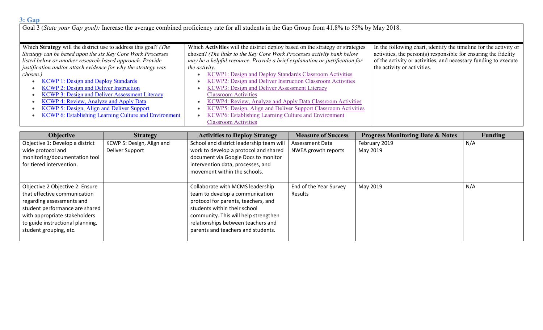Goal 3 (*State your Gap goal):* Increase the average combined proficiency rate for all students in the Gap Group from 41.8% to 55% by May 2018.

| Which Strategy will the district use to address this goal? (The<br>Which Activities will the district deploy based on the strategy or strategies |                                                                             | In the following chart, identify the timeline for the activity or |
|--------------------------------------------------------------------------------------------------------------------------------------------------|-----------------------------------------------------------------------------|-------------------------------------------------------------------|
| Strategy can be based upon the six Key Core Work Processes                                                                                       | chosen? (The links to the Key Core Work Processes activity bank below       | activities, the person(s) responsible for ensuring the fidelity   |
| listed below or another research-based approach. Provide                                                                                         | may be a helpful resource. Provide a brief explanation or justification for | of the activity or activities, and necessary funding to execute   |
| justification and/or attach evidence for why the strategy was                                                                                    | the activity.                                                               | the activity or activities.                                       |
| chosen.)                                                                                                                                         | KCWP1: Design and Deploy Standards Classroom Activities                     |                                                                   |
| <b>KCWP 1: Design and Deploy Standards</b>                                                                                                       | KCWP2: Design and Deliver Instruction Classroom Activities                  |                                                                   |
| <b>KCWP 2: Design and Deliver Instruction</b>                                                                                                    | KCWP3: Design and Deliver Assessment Literacy                               |                                                                   |
| KCWP 3: Design and Deliver Assessment Literacy                                                                                                   | <b>Classroom Activities</b>                                                 |                                                                   |
| KCWP 4: Review, Analyze and Apply Data                                                                                                           | KCWP4: Review, Analyze and Apply Data Classroom Activities                  |                                                                   |
| <b>KCWP 5: Design, Align and Deliver Support</b>                                                                                                 | KCWP5: Design, Align and Deliver Support Classroom Activities               |                                                                   |
| <b>KCWP 6: Establishing Learning Culture and Environment</b>                                                                                     | KCWP6: Establishing Learning Culture and Environment                        |                                                                   |
|                                                                                                                                                  | <b>Classroom Activities</b>                                                 |                                                                   |

| <b>Objective</b>                 | <b>Strategy</b>           | <b>Activities to Deploy Strategy</b>     | <b>Measure of Success</b> | <b>Progress Monitoring Date &amp; Notes</b> | <b>Funding</b> |
|----------------------------------|---------------------------|------------------------------------------|---------------------------|---------------------------------------------|----------------|
| Objective 1: Develop a district  | KCWP 5: Design, Align and | School and district leadership team will | <b>Assessment Data</b>    | February 2019                               | N/A            |
| wide protocol and                | Deliver Support           | work to develop a protocol and shared    | NWEA growth reports       | May 2019                                    |                |
| monitoring/documentation tool    |                           | document via Google Docs to monitor      |                           |                                             |                |
| for tiered intervention.         |                           | intervention data, processes, and        |                           |                                             |                |
|                                  |                           | movement within the schools.             |                           |                                             |                |
|                                  |                           |                                          |                           |                                             |                |
| Objective 2 Objective 2: Ensure  |                           | Collaborate with MCMS leadership         | End of the Year Survey    | May 2019                                    | N/A            |
| that effective communication     |                           | team to develop a communication          | Results                   |                                             |                |
| regarding assessments and        |                           | protocol for parents, teachers, and      |                           |                                             |                |
| student performance are shared   |                           | students within their school             |                           |                                             |                |
| with appropriate stakeholders    |                           | community. This will help strengthen     |                           |                                             |                |
| to guide instructional planning, |                           | relationships between teachers and       |                           |                                             |                |
| student grouping, etc.           |                           | parents and teachers and students.       |                           |                                             |                |
|                                  |                           |                                          |                           |                                             |                |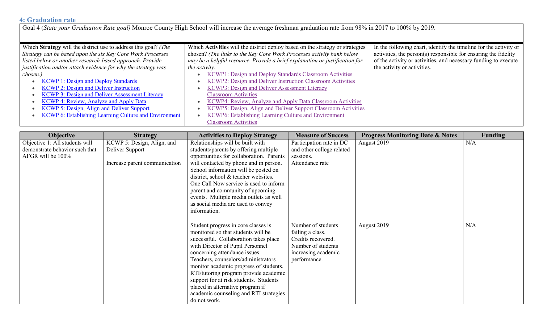### **4: Graduation rate**

Goal 4 (*State your Graduation Rate goal)* Monroe County High School will increase the average freshman graduation rate from 98% in 2017 to 100% by 2019.

| Which Strategy will the district use to address this goal? (The | Which Activities will the district deploy based on the strategy or strategies | In the following chart, identify the timeline for the activity or |
|-----------------------------------------------------------------|-------------------------------------------------------------------------------|-------------------------------------------------------------------|
| Strategy can be based upon the six Key Core Work Processes      | chosen? (The links to the Key Core Work Processes activity bank below         | activities, the person(s) responsible for ensuring the fidelity   |
| listed below or another research-based approach. Provide        | may be a helpful resource. Provide a brief explanation or justification for   | of the activity or activities, and necessary funding to execute   |
| justification and/or attach evidence for why the strategy was   | the activity.                                                                 | the activity or activities.                                       |
| chosen.)                                                        | KCWP1: Design and Deploy Standards Classroom Activities                       |                                                                   |
| <b>KCWP 1: Design and Deploy Standards</b>                      | KCWP2: Design and Deliver Instruction Classroom Activities                    |                                                                   |
| <b>KCWP 2: Design and Deliver Instruction</b>                   | KCWP3: Design and Deliver Assessment Literacy                                 |                                                                   |
| <b>KCWP 3: Design and Deliver Assessment Literacy</b>           | <b>Classroom Activities</b>                                                   |                                                                   |
| <b>KCWP 4: Review, Analyze and Apply Data</b>                   | KCWP4: Review, Analyze and Apply Data Classroom Activities                    |                                                                   |
| KCWP 5: Design, Align and Deliver Support                       | KCWP5: Design, Align and Deliver Support Classroom Activities                 |                                                                   |
| <b>KCWP 6: Establishing Learning Culture and Environment</b>    | KCWP6: Establishing Learning Culture and Environment                          |                                                                   |
|                                                                 | <b>Classroom Activities</b>                                                   |                                                                   |

| <b>Objective</b>               | <b>Strategy</b>               | <b>Activities to Deploy Strategy</b>                              | <b>Measure of Success</b>           | <b>Progress Monitoring Date &amp; Notes</b> | <b>Funding</b> |
|--------------------------------|-------------------------------|-------------------------------------------------------------------|-------------------------------------|---------------------------------------------|----------------|
| Objective 1: All students will | KCWP 5: Design, Align, and    | Relationships will be built with                                  | Participation rate in DC            | August 2019                                 | N/A            |
| demonstrate behavior such that | Deliver Support               | students/parents by offering multiple                             | and other college related           |                                             |                |
| AFGR will be 100%              |                               | opportunities for collaboration. Parents                          | sessions.                           |                                             |                |
|                                | Increase parent communication | will contacted by phone and in person.                            | Attendance rate                     |                                             |                |
|                                |                               | School information will be posted on                              |                                     |                                             |                |
|                                |                               | district, school & teacher websites.                              |                                     |                                             |                |
|                                |                               | One Call Now service is used to inform                            |                                     |                                             |                |
|                                |                               | parent and community of upcoming                                  |                                     |                                             |                |
|                                |                               | events. Multiple media outlets as well                            |                                     |                                             |                |
|                                |                               | as social media are used to convey                                |                                     |                                             |                |
|                                |                               | information.                                                      |                                     |                                             |                |
|                                |                               |                                                                   |                                     |                                             |                |
|                                |                               | Student progress in core classes is                               | Number of students                  | August 2019                                 | N/A            |
|                                |                               | monitored so that students will be                                | failing a class.                    |                                             |                |
|                                |                               | successful. Collaboration takes place                             | Credits recovered.                  |                                             |                |
|                                |                               | with Director of Pupil Personnel<br>concerning attendance issues. | Number of students                  |                                             |                |
|                                |                               | Teachers, counselors/administrators                               | increasing academic<br>performance. |                                             |                |
|                                |                               | monitor academic progress of students.                            |                                     |                                             |                |
|                                |                               | RTI/tutoring program provide academic                             |                                     |                                             |                |
|                                |                               | support for at risk students. Students                            |                                     |                                             |                |
|                                |                               | placed in alternative program if                                  |                                     |                                             |                |
|                                |                               | academic counseling and RTI strategies                            |                                     |                                             |                |
|                                |                               | do not work.                                                      |                                     |                                             |                |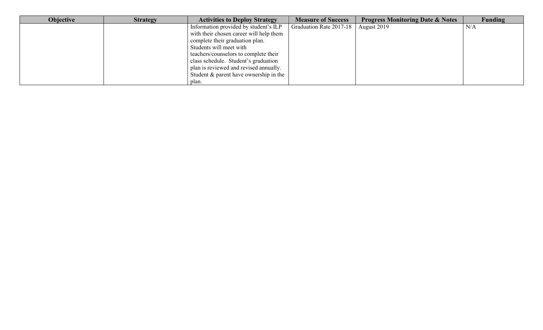| <b>Objective</b> | <b>Strategy</b> | <b>Activities to Deploy Strategy</b>    | <b>Measure of Success</b> | <b>Progress Monitoring Date &amp; Notes</b> | Funding |
|------------------|-----------------|-----------------------------------------|---------------------------|---------------------------------------------|---------|
|                  |                 | Information provided by student's ILP   | Graduation Rate 2017-18   | August 2019                                 | N/A     |
|                  |                 | with their chosen career will help them |                           |                                             |         |
|                  |                 | complete their graduation plan.         |                           |                                             |         |
|                  |                 | Students will meet with                 |                           |                                             |         |
|                  |                 | teachers/counselors to complete their   |                           |                                             |         |
|                  |                 | class schedule. Student's graduation    |                           |                                             |         |
|                  |                 | plan is reviewed and revised annually.  |                           |                                             |         |
|                  |                 | Student & parent have ownership in the  |                           |                                             |         |
|                  |                 | plan.                                   |                           |                                             |         |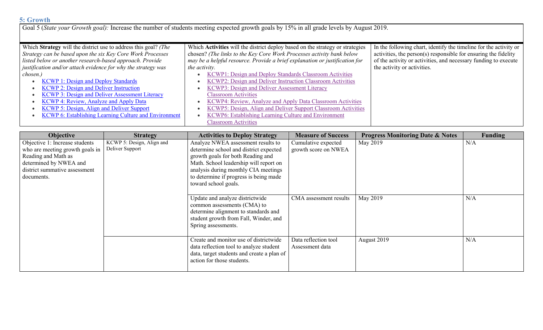#### **5: Growth**

Goal 5 (*State your Growth goal):* Increase the number of students meeting expected growth goals by 15% in all grade levels by August 2019.

| Which Strategy will the district use to address this goal? (The | Which Activities will the district deploy based on the strategy or strategies | In the following chart, identify the timeline for the activity or |
|-----------------------------------------------------------------|-------------------------------------------------------------------------------|-------------------------------------------------------------------|
| Strategy can be based upon the six Key Core Work Processes      | chosen? (The links to the Key Core Work Processes activity bank below         | activities, the person(s) responsible for ensuring the fidelity   |
| listed below or another research-based approach. Provide        | may be a helpful resource. Provide a brief explanation or justification for   | of the activity or activities, and necessary funding to execute   |
| justification and/or attach evidence for why the strategy was   | the activity.                                                                 | the activity or activities.                                       |
| chosen.)                                                        | KCWP1: Design and Deploy Standards Classroom Activities                       |                                                                   |
| <b>KCWP 1: Design and Deploy Standards</b>                      | KCWP2: Design and Deliver Instruction Classroom Activities                    |                                                                   |
| <b>KCWP 2: Design and Deliver Instruction</b>                   | KCWP3: Design and Deliver Assessment Literacy                                 |                                                                   |
| <b>KCWP 3: Design and Deliver Assessment Literacy</b>           | <b>Classroom Activities</b>                                                   |                                                                   |
| KCWP 4: Review, Analyze and Apply Data                          | KCWP4: Review, Analyze and Apply Data Classroom Activities                    |                                                                   |
| KCWP 5: Design, Align and Deliver Support                       | KCWP5: Design, Align and Deliver Support Classroom Activities                 |                                                                   |
| <b>KCWP 6: Establishing Learning Culture and Environment</b>    | KCWP6: Establishing Learning Culture and Environment                          |                                                                   |
|                                                                 | <b>Classroom Activities</b>                                                   |                                                                   |

| <b>Objective</b>                                                                                                                                                  | <b>Strategy</b>                              | <b>Activities to Deploy Strategy</b>                                                                                                                                                                                                                                  | <b>Measure of Success</b>                   | <b>Progress Monitoring Date &amp; Notes</b> | Funding |
|-------------------------------------------------------------------------------------------------------------------------------------------------------------------|----------------------------------------------|-----------------------------------------------------------------------------------------------------------------------------------------------------------------------------------------------------------------------------------------------------------------------|---------------------------------------------|---------------------------------------------|---------|
| Objective 1: Increase students<br>who are meeting growth goals in<br>Reading and Math as<br>determined by NWEA and<br>district summative assessment<br>documents. | KCWP 5: Design, Align and<br>Deliver Support | Analyze NWEA assessment results to<br>determine school and district expected<br>growth goals for both Reading and<br>Math. School leadership will report on<br>analysis during monthly CIA meetings<br>to determine if progress is being made<br>toward school goals. | Cumulative expected<br>growth score on NWEA | May 2019                                    | N/A     |
|                                                                                                                                                                   |                                              | Update and analyze districtwide<br>common assessments (CMA) to<br>determine alignment to standards and<br>student growth from Fall, Winder, and<br>Spring assessments.                                                                                                | CMA assessment results                      | May 2019                                    | N/A     |
|                                                                                                                                                                   |                                              | Create and monitor use of districtwide<br>data reflection tool to analyze student<br>data, target students and create a plan of<br>action for those students.                                                                                                         | Data reflection tool<br>Assessment data     | August 2019                                 | N/A     |